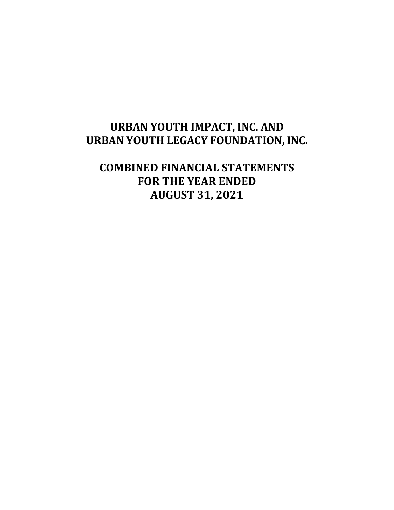# **URBAN YOUTH IMPACT, INC. AND URBAN YOUTH LEGACY FOUNDATION, INC.**

**COMBINED FINANCIAL STATEMENTS FOR THE YEAR ENDED AUGUST 31, 2021**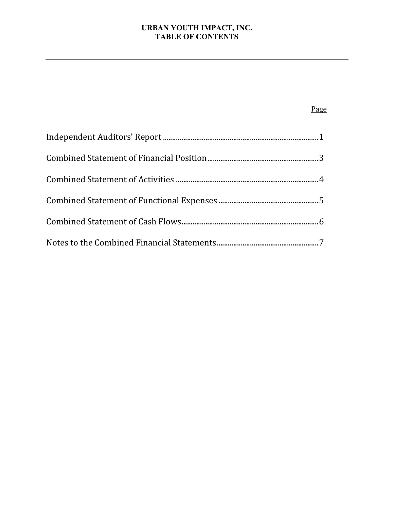### **URBAN YOUTH IMPACT, INC. TABLE OF CONTENTS**

## Page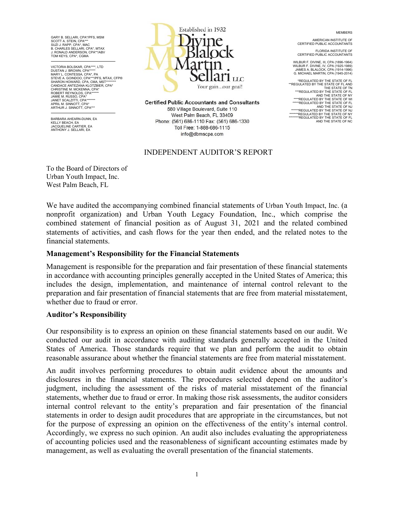GARY B. SELLARI, CPA\*/PFS, MSM SCOTT A. STEIN, CPA\*\*\* SUZI J. RAPP, CPA\*, MAC B. CHARLES SELLARI, CPA\*, MTAX J. RONALD ANDERSON, CPA\*\*/ABV TOM KEYS, CPA\*, CGMA

VICTORIA BOLSKAR, CPA\*\*\*\*, LTD DUSTAN J. BROWN, CPA\*\*\*\*\*<br>MARY L. CONTESSA, CPA\*, PA<br>STEVE A. GOINDOO, CPA\*\*\*/PFS, MTAX, CFP®<br>SHARON HOWARD, CPA, CMA, MST\*\*\*\*\*\*\*\* CANDACE ANTEZANA KLOTZBIER, CPA\* CHRISTINE M. MCKENNA, CPA\* ROBERT REYNOLDS, CPA\*\*\*\* JAMIE M. RUSSO, CPA\* JANET SCALZITTI, CPA\*\*\*\*\*\*\* APRIL M. SINNOTT, CPA\* ARTHUR J. SINNOTT, CPA\*\*\*

BARBARA AHEARN-DUNN, EA KELLY BEACH, EA JACQUELINE CARTIER, EA ANTHONY J. SELLARI, EA



**Certified Public Accountants and Consultants** 580 Village Boulevard, Suite 110 West Palm Beach, FL 33409 Phone: (561) 686-1110 Fax: (561) 686-1330 Toll Free: 1-888-686-1115 info@dbmscpa.com

#### INDEPENDENT AUDITOR'S REPORT

To the Board of Directors of Urban Youth Impact, Inc. West Palm Beach, FL

We have audited the accompanying combined financial statements of Urban Youth Impact, Inc. (a nonprofit organization) and Urban Youth Legacy Foundation, Inc., which comprise the combined statement of financial position as of August 31, 2021 and the related combined statements of activities, and cash flows for the year then ended, and the related notes to the financial statements.

#### **Management's Responsibility for the Financial Statements**

Management is responsible for the preparation and fair presentation of these financial statements in accordance with accounting principles generally accepted in the United States of America; this includes the design, implementation, and maintenance of internal control relevant to the preparation and fair presentation of financial statements that are free from material misstatement, whether due to fraud or error.

#### **Auditor's Responsibility**

Our responsibility is to express an opinion on these financial statements based on our audit. We conducted our audit in accordance with auditing standards generally accepted in the United States of America. Those standards require that we plan and perform the audit to obtain reasonable assurance about whether the financial statements are free from material misstatement.

An audit involves performing procedures to obtain audit evidence about the amounts and disclosures in the financial statements. The procedures selected depend on the auditor's judgment, including the assessment of the risks of material misstatement of the financial statements, whether due to fraud or error. In making those risk assessments, the auditor considers internal control relevant to the entity's preparation and fair presentation of the financial statements in order to design audit procedures that are appropriate in the circumstances, but not for the purpose of expressing an opinion on the effectiveness of the entity's internal control. Accordingly, we express no such opinion. An audit also includes evaluating the appropriateness of accounting policies used and the reasonableness of significant accounting estimates made by management, as well as evaluating the overall presentation of the financial statements.

MEMBERS

AMERICAN INSTITUTE OF CERTIFIED PUBLIC ACCOUNTANTS

FLORIDA INSTITUTE OF CERTIFIED PUBLIC ACCOUNTANTS

WILBUR F. DIVINE, III, CPA (1896-1964) WILBUR F. DIVINE, IV, CPA (1925-1989) JAMES A. BLALOCK, CPA (1914-1996) G. MICHAEL MARTIN, CPA (1945-2014)

\*REGULATED BY THE STATE OF FL \*\*REGULATED BY THE STATE OF FL AND THE STATE OF TN<br>\*\*\*REGULATED BY THE STATE OF FL\*<br>AND THE STATE OF NY<br>\*\*\*\*REGULATED BY THE STATE OF WI\* \*\*\*\*\*REGULATED BY THE STATE OF FL AND THE STATE OF NJ \*\*\*\*\*\*REGULATED BY THE STATE OF NJ \*\*\*\*\*\*\*REGULATED BY THE STATE OF NY \*\*\*\*\*\*\*\*REGULATED BY THE STATE OF FL AND THE STATE OF NC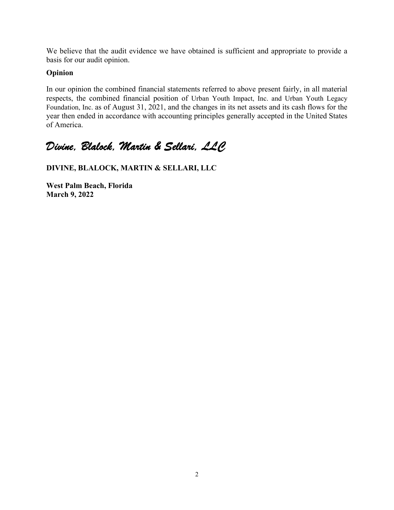We believe that the audit evidence we have obtained is sufficient and appropriate to provide a basis for our audit opinion.

#### **Opinion**

In our opinion the combined financial statements referred to above present fairly, in all material respects, the combined financial position of Urban Youth Impact, Inc. and Urban Youth Legacy Foundation, Inc. as of August 31, 2021, and the changes in its net assets and its cash flows for the year then ended in accordance with accounting principles generally accepted in the United States of America.

# *Divine, Blalock, Martin & Sellari, LLC*

**DIVINE, BLALOCK, MARTIN & SELLARI, LLC** 

**West Palm Beach, Florida March 9, 2022**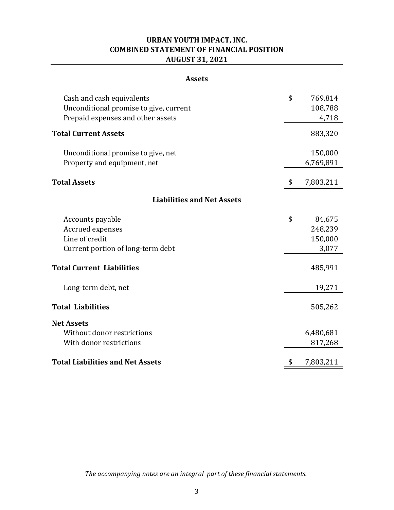# **COMBINED STATEMENT OF FINANCIAL POSITION AUGUST 31, 2021 URBAN YOUTH IMPACT, INC.**

# **Assets**

| Cash and cash equivalents               | \$ | 769,814   |
|-----------------------------------------|----|-----------|
| Unconditional promise to give, current  |    | 108,788   |
| Prepaid expenses and other assets       |    | 4,718     |
| <b>Total Current Assets</b>             |    | 883,320   |
| Unconditional promise to give, net      |    | 150,000   |
| Property and equipment, net             |    | 6,769,891 |
| <b>Total Assets</b>                     | S. | 7,803,211 |
| <b>Liabilities and Net Assets</b>       |    |           |
| Accounts payable                        | \$ | 84,675    |
| Accrued expenses                        |    | 248,239   |
| Line of credit                          |    | 150,000   |
| Current portion of long-term debt       |    | 3,077     |
| <b>Total Current Liabilities</b>        |    | 485,991   |
| Long-term debt, net                     |    | 19,271    |
| <b>Total Liabilities</b>                |    | 505,262   |
| <b>Net Assets</b>                       |    |           |
| Without donor restrictions              |    | 6,480,681 |
| With donor restrictions                 |    | 817,268   |
| <b>Total Liabilities and Net Assets</b> | \$ | 7,803,211 |

*The accompanying notes are an integral part of these financial statements.*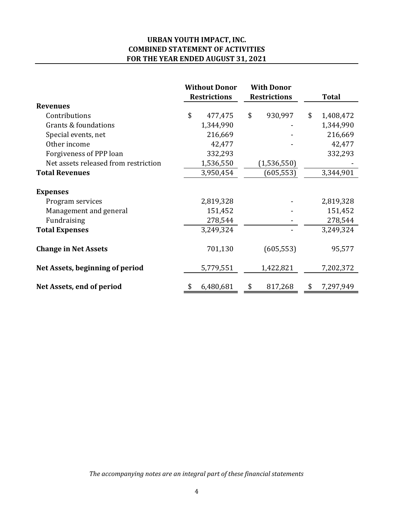## **URBAN YOUTH IMPACT, INC. FOR THE YEAR ENDED AUGUST 31, 2021 COMBINED STATEMENT OF ACTIVITIES**

|                                      | <b>Without Donor</b><br><b>Restrictions</b> |           | <b>With Donor</b><br><b>Restrictions</b> |             |    | <b>Total</b> |
|--------------------------------------|---------------------------------------------|-----------|------------------------------------------|-------------|----|--------------|
| <b>Revenues</b>                      |                                             |           |                                          |             |    |              |
| Contributions                        | \$                                          | 477,475   | \$                                       | 930,997     | \$ | 1,408,472    |
| Grants & foundations                 |                                             | 1,344,990 |                                          |             |    | 1,344,990    |
| Special events, net                  |                                             | 216,669   |                                          |             |    | 216,669      |
| Other income                         |                                             | 42,477    |                                          |             |    | 42,477       |
| Forgiveness of PPP loan              |                                             | 332,293   |                                          |             |    | 332,293      |
| Net assets released from restriction |                                             | 1,536,550 |                                          | (1,536,550) |    |              |
| <b>Total Revenues</b>                |                                             | 3,950,454 |                                          | (605, 553)  |    | 3,344,901    |
| <b>Expenses</b>                      |                                             |           |                                          |             |    |              |
| Program services                     |                                             | 2,819,328 |                                          |             |    | 2,819,328    |
| Management and general               |                                             | 151,452   |                                          |             |    | 151,452      |
| Fundraising                          |                                             | 278,544   |                                          |             |    | 278,544      |
| <b>Total Expenses</b>                |                                             | 3,249,324 |                                          |             |    | 3,249,324    |
| <b>Change in Net Assets</b>          |                                             | 701,130   |                                          | (605, 553)  |    | 95,577       |
| Net Assets, beginning of period      |                                             | 5,779,551 |                                          | 1,422,821   |    | 7,202,372    |
| Net Assets, end of period            |                                             | 6,480,681 | \$                                       | 817,268     | S  | 7,297,949    |

*The accompanying notes are an integral part of these financial statements*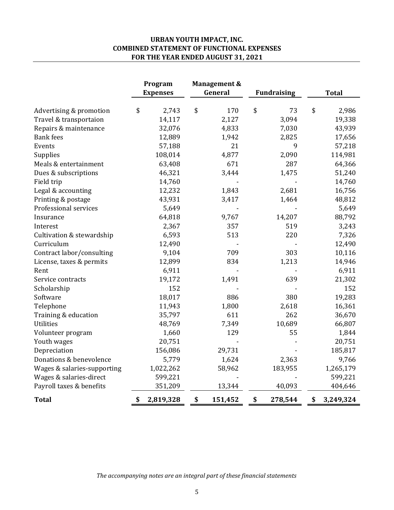#### **URBAN YOUTH IMPACT, INC. COMBINED STATEMENT OF FUNCTIONAL EXPENSES FOR THE YEAR ENDED AUGUST 31, 2021**

|                                                   | Program<br><b>Expenses</b> | <b>Management &amp;</b><br>General | <b>Fundraising</b> |    | <b>Total</b> |
|---------------------------------------------------|----------------------------|------------------------------------|--------------------|----|--------------|
|                                                   | \$<br>2,743                | \$<br>170                          | \$<br>73           | \$ | 2,986        |
| Advertising & promotion<br>Travel & transportaion | 14,117                     | 2,127                              | 3,094              |    | 19,338       |
| Repairs & maintenance                             | 32,076                     | 4,833                              | 7,030              |    | 43,939       |
| <b>Bank</b> fees                                  | 12,889                     | 1,942                              | 2,825              |    | 17,656       |
| Events                                            | 57,188                     | 21                                 | 9                  |    | 57,218       |
| Supplies                                          | 108,014                    | 4,877                              | 2,090              |    | 114,981      |
| Meals & entertainment                             | 63,408                     | 671                                | 287                |    | 64,366       |
| Dues & subscriptions                              | 46,321                     | 3,444                              | 1,475              |    | 51,240       |
| Field trip                                        | 14,760                     |                                    |                    |    | 14,760       |
|                                                   | 12,232                     | 1,843                              | 2,681              |    | 16,756       |
| Legal & accounting                                | 43,931                     |                                    | 1,464              |    | 48,812       |
| Printing & postage<br>Professional services       | 5,649                      | 3,417                              |                    |    |              |
|                                                   |                            |                                    |                    |    | 5,649        |
| Insurance                                         | 64,818                     | 9,767                              | 14,207             |    | 88,792       |
| Interest                                          | 2,367                      | 357                                | 519                |    | 3,243        |
| Cultivation & stewardship                         | 6,593                      | 513                                | 220                |    | 7,326        |
| Curriculum                                        | 12,490                     |                                    |                    |    | 12,490       |
| Contract labor/consulting                         | 9,104                      | 709                                | 303                |    | 10,116       |
| License, taxes & permits                          | 12,899                     | 834                                | 1,213              |    | 14,946       |
| Rent                                              | 6,911                      |                                    |                    |    | 6,911        |
| Service contracts                                 | 19,172                     | 1,491                              | 639                |    | 21,302       |
| Scholarship                                       | 152                        |                                    |                    |    | 152          |
| Software                                          | 18,017                     | 886                                | 380                |    | 19,283       |
| Telephone                                         | 11,943                     | 1,800                              | 2,618              |    | 16,361       |
| Training & education                              | 35,797                     | 611                                | 262                |    | 36,670       |
| Utilities                                         | 48,769                     | 7,349                              | 10,689             |    | 66,807       |
| Volunteer program                                 | 1,660                      | 129                                | 55                 |    | 1,844        |
| Youth wages                                       | 20,751                     |                                    |                    |    | 20,751       |
| Depreciation                                      | 156,086                    | 29,731                             |                    |    | 185,817      |
| Donations & benevolence                           | 5,779                      | 1,624                              | 2,363              |    | 9,766        |
| Wages & salaries-supporting                       | 1,022,262                  | 58,962                             | 183,955            |    | 1,265,179    |
| Wages & salaries-direct                           | 599,221                    |                                    |                    |    | 599,221      |
| Payroll taxes & benefits                          | 351,209                    | 13,344                             | 40,093             |    | 404,646      |
| <b>Total</b>                                      | \$<br>2,819,328            | \$<br>151,452                      | \$<br>278,544      | \$ | 3,249,324    |

*The accompanying notes are an integral part of these financial statements*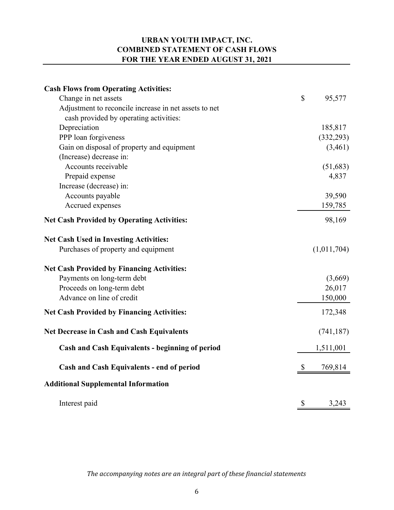# **URBAN YOUTH IMPACT, INC. COMBINED STATEMENT OF CASH FLOWS FOR THE YEAR ENDED AUGUST 31, 2021**

| <b>Cash Flows from Operating Activities:</b>           |              |             |
|--------------------------------------------------------|--------------|-------------|
| Change in net assets                                   | $\mathbb{S}$ | 95,577      |
| Adjustment to reconcile increase in net assets to net  |              |             |
| cash provided by operating activities:                 |              |             |
| Depreciation                                           |              | 185,817     |
| PPP loan forgiveness                                   |              | (332, 293)  |
| Gain on disposal of property and equipment             |              | (3,461)     |
| (Increase) decrease in:                                |              |             |
| Accounts receivable                                    |              | (51,683)    |
| Prepaid expense                                        |              | 4,837       |
| Increase (decrease) in:                                |              |             |
| Accounts payable                                       |              | 39,590      |
| Accrued expenses                                       |              | 159,785     |
| <b>Net Cash Provided by Operating Activities:</b>      |              | 98,169      |
| <b>Net Cash Used in Investing Activities:</b>          |              |             |
| Purchases of property and equipment                    |              | (1,011,704) |
| <b>Net Cash Provided by Financing Activities:</b>      |              |             |
| Payments on long-term debt                             |              | (3,669)     |
| Proceeds on long-term debt                             |              | 26,017      |
| Advance on line of credit                              |              | 150,000     |
| <b>Net Cash Provided by Financing Activities:</b>      |              | 172,348     |
| <b>Net Decrease in Cash and Cash Equivalents</b>       |              | (741, 187)  |
| <b>Cash and Cash Equivalents - beginning of period</b> |              | 1,511,001   |
| <b>Cash and Cash Equivalents - end of period</b>       | <sup>2</sup> | 769,814     |
| <b>Additional Supplemental Information</b>             |              |             |
| Interest paid                                          | \$           | 3,243       |

*The accompanying notes are an integral part of these financial statements*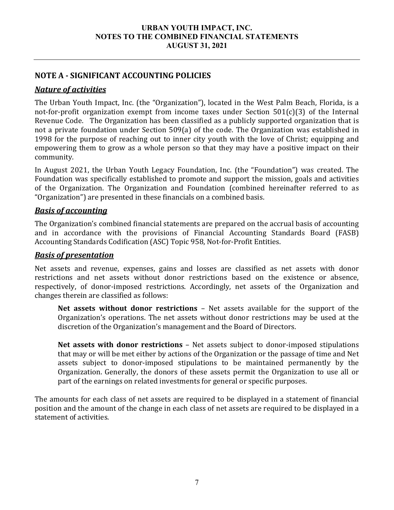# **NOTE A ‐ SIGNIFICANT ACCOUNTING POLICIES**

## *Nature of activities*

The Urban Youth Impact, Inc. (the "Organization"), located in the West Palm Beach, Florida, is a not-for-profit organization exempt from income taxes under Section 501(c)(3) of the Internal Revenue Code. The Organization has been classified as a publicly supported organization that is not a private foundation under Section 509(a) of the code. The Organization was established in 1998 for the purpose of reaching out to inner city youth with the love of Christ; equipping and empowering them to grow as a whole person so that they may have a positive impact on their community.

In August 2021, the Urban Youth Legacy Foundation, Inc. (the "Foundation") was created. The Foundation was specifically established to promote and support the mission, goals and activities of the Organization. The Organization and Foundation (combined hereinafter referred to as "Organization") are presented in these financials on a combined basis.

## *Basis of accounting*

The Organization's combined financial statements are prepared on the accrual basis of accounting and in accordance with the provisions of Financial Accounting Standards Board (FASB) Accounting Standards Codification (ASC) Topic 958, Not-for-Profit Entities.

#### *Basis of presentation*

Net assets and revenue, expenses, gains and losses are classified as net assets with donor restrictions and net assets without donor restrictions based on the existence or absence, respectively, of donor-imposed restrictions. Accordingly, net assets of the Organization and changes therein are classified as follows:

**Net assets without donor restrictions** – Net assets available for the support of the Organization's operations. The net assets without donor restrictions may be used at the discretion of the Organization's management and the Board of Directors.

**Net assets with donor restrictions** – Net assets subject to donor-imposed stipulations that may or will be met either by actions of the Organization or the passage of time and Net assets subject to donor-imposed stipulations to be maintained permanently by the Organization. Generally, the donors of these assets permit the Organization to use all or part of the earnings on related investments for general or specific purposes.

The amounts for each class of net assets are required to be displayed in a statement of financial position and the amount of the change in each class of net assets are required to be displayed in a statement of activities.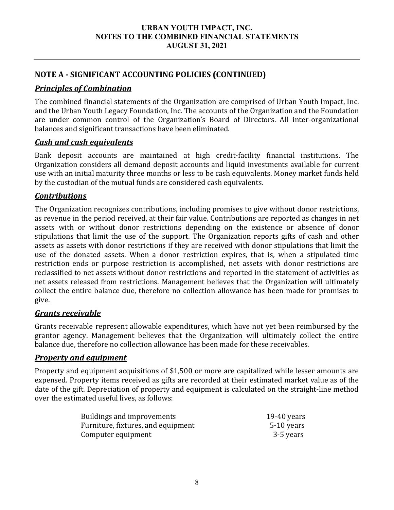# **NOTE A ‐ SIGNIFICANT ACCOUNTING POLICIES (CONTINUED)**

# *Principles of Combination*

The combined financial statements of the Organization are comprised of Urban Youth Impact, Inc. and the Urban Youth Legacy Foundation, Inc. The accounts of the Organization and the Foundation are under common control of the Organization's Board of Directors. All inter-organizational balances and significant transactions have been eliminated.

## *Cash and cash equivalents*

Bank deposit accounts are maintained at high credit-facility financial institutions. The Organization considers all demand deposit accounts and liquid investments available for current use with an initial maturity three months or less to be cash equivalents. Money market funds held by the custodian of the mutual funds are considered cash equivalents.

# *Contributions*

The Organization recognizes contributions, including promises to give without donor restrictions, as revenue in the period received, at their fair value. Contributions are reported as changes in net assets with or without donor restrictions depending on the existence or absence of donor stipulations that limit the use of the support. The Organization reports gifts of cash and other assets as assets with donor restrictions if they are received with donor stipulations that limit the use of the donated assets. When a donor restriction expires, that is, when a stipulated time restriction ends or purpose restriction is accomplished, net assets with donor restrictions are reclassified to net assets without donor restrictions and reported in the statement of activities as net assets released from restrictions. Management believes that the Organization will ultimately collect the entire balance due, therefore no collection allowance has been made for promises to give.

# *Grants receivable*

Grants receivable represent allowable expenditures, which have not yet been reimbursed by the grantor agency. Management believes that the Organization will ultimately collect the entire balance due, therefore no collection allowance has been made for these receivables.

# *Property and equipment*

Property and equipment acquisitions of \$1,500 or more are capitalized while lesser amounts are expensed. Property items received as gifts are recorded at their estimated market value as of the date of the gift. Depreciation of property and equipment is calculated on the straight-line method over the estimated useful lives, as follows:

| Buildings and improvements         | 19-40 years  |
|------------------------------------|--------------|
| Furniture, fixtures, and equipment | $5-10$ years |
| Computer equipment                 | 3-5 years    |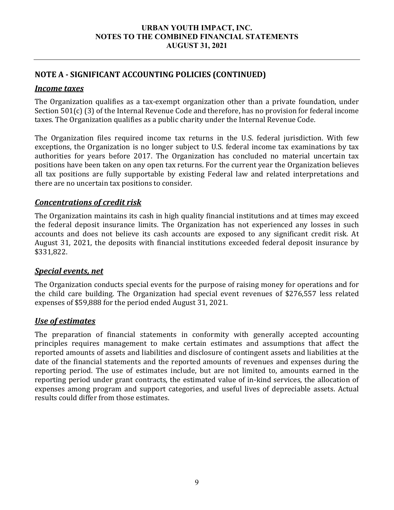# **NOTE A ‐ SIGNIFICANT ACCOUNTING POLICIES (CONTINUED)**

### *Income taxes*

The Organization qualifies as a tax-exempt organization other than a private foundation, under Section 501(c) (3) of the Internal Revenue Code and therefore, has no provision for federal income taxes. The Organization qualifies as a public charity under the Internal Revenue Code.

The Organization files required income tax returns in the U.S. federal jurisdiction. With few exceptions, the Organization is no longer subject to U.S. federal income tax examinations by tax authorities for years before 2017. The Organization has concluded no material uncertain tax positions have been taken on any open tax returns. For the current year the Organization believes all tax positions are fully supportable by existing Federal law and related interpretations and there are no uncertain tax positions to consider.

# *Concentrations of credit risk*

The Organization maintains its cash in high quality financial institutions and at times may exceed the federal deposit insurance limits. The Organization has not experienced any losses in such accounts and does not believe its cash accounts are exposed to any significant credit risk. At August 31, 2021, the deposits with financial institutions exceeded federal deposit insurance by \$331,822.

#### *Special events, net*

The Organization conducts special events for the purpose of raising money for operations and for the child care building. The Organization had special event revenues of \$276,557 less related expenses of \$59,888 for the period ended August 31, 2021.

# *Use of estimates*

The preparation of financial statements in conformity with generally accepted accounting principles requires management to make certain estimates and assumptions that affect the reported amounts of assets and liabilities and disclosure of contingent assets and liabilities at the date of the financial statements and the reported amounts of revenues and expenses during the reporting period. The use of estimates include, but are not limited to, amounts earned in the reporting period under grant contracts, the estimated value of in-kind services, the allocation of expenses among program and support categories, and useful lives of depreciable assets. Actual results could differ from those estimates.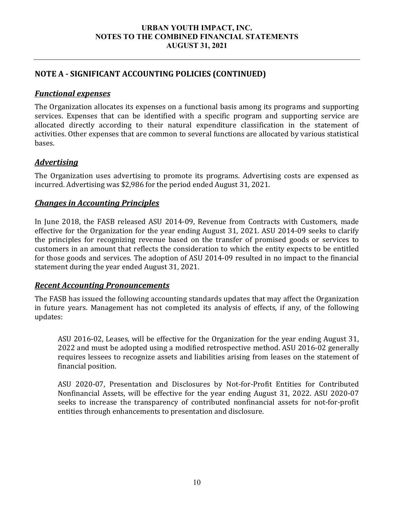# **NOTE A ‐ SIGNIFICANT ACCOUNTING POLICIES (CONTINUED)**

# *Functional expenses*

The Organization allocates its expenses on a functional basis among its programs and supporting services. Expenses that can be identified with a specific program and supporting service are allocated directly according to their natural expenditure classification in the statement of activities. Other expenses that are common to several functions are allocated by various statistical bases.

## *Advertising*

The Organization uses advertising to promote its programs. Advertising costs are expensed as incurred. Advertising was \$2,986 for the period ended August 31, 2021.

## *Changes in Accounting Principles*

In June 2018, the FASB released ASU 2014-09, Revenue from Contracts with Customers, made effective for the Organization for the year ending August 31, 2021. ASU 2014-09 seeks to clarify the principles for recognizing revenue based on the transfer of promised goods or services to customers in an amount that reflects the consideration to which the entity expects to be entitled for those goods and services. The adoption of ASU 2014-09 resulted in no impact to the financial statement during the year ended August 31, 2021.

#### *Recent Accounting Pronouncements*

The FASB has issued the following accounting standards updates that may affect the Organization in future years. Management has not completed its analysis of effects, if any, of the following updates:

ASU 2016-02, Leases, will be effective for the Organization for the year ending August 31, 2022 and must be adopted using a modified retrospective method. ASU 2016-02 generally requires lessees to recognize assets and liabilities arising from leases on the statement of financial position.

ASU 2020-07, Presentation and Disclosures by Not-for-Profit Entities for Contributed Nonfinancial Assets, will be effective for the year ending August 31, 2022. ASU 2020-07 seeks to increase the transparency of contributed nonfinancial assets for not-for-profit entities through enhancements to presentation and disclosure.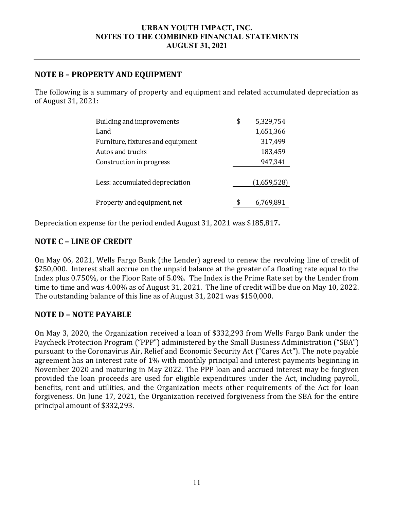## **NOTE B – PROPERTY AND EQUIPMENT**

The following is a summary of property and equipment and related accumulated depreciation as of August 31, 2021:

| Building and improvements         | \$<br>5,329,754 |
|-----------------------------------|-----------------|
| Land                              | 1,651,366       |
| Furniture, fixtures and equipment | 317,499         |
| Autos and trucks                  | 183,459         |
| Construction in progress          | 947,341         |
| Less: accumulated depreciation    | (1,659,528)     |
| Property and equipment, net       | 6,769,891       |

Depreciation expense for the period ended August 31, 2021 was \$185,817**.**

# **NOTE C – LINE OF CREDIT**

On May 06, 2021, Wells Fargo Bank (the Lender) agreed to renew the revolving line of credit of \$250,000. Interest shall accrue on the unpaid balance at the greater of a floating rate equal to the Index plus 0.750%, or the Floor Rate of 5.0%. The Index is the Prime Rate set by the Lender from time to time and was 4.00% as of August 31, 2021. The line of credit will be due on May 10, 2022. The outstanding balance of this line as of August 31, 2021 was \$150,000.

#### **NOTE D – NOTE PAYABLE**

On May 3, 2020, the Organization received a loan of \$332,293 from Wells Fargo Bank under the Paycheck Protection Program ("PPP") administered by the Small Business Administration ("SBA") pursuant to the Coronavirus Air, Relief and Economic Security Act ("Cares Act"). The note payable agreement has an interest rate of 1% with monthly principal and interest payments beginning in November 2020 and maturing in May 2022. The PPP loan and accrued interest may be forgiven provided the loan proceeds are used for eligible expenditures under the Act, including payroll, benefits, rent and utilities, and the Organization meets other requirements of the Act for loan forgiveness. On June 17, 2021, the Organization received forgiveness from the SBA for the entire principal amount of \$332,293.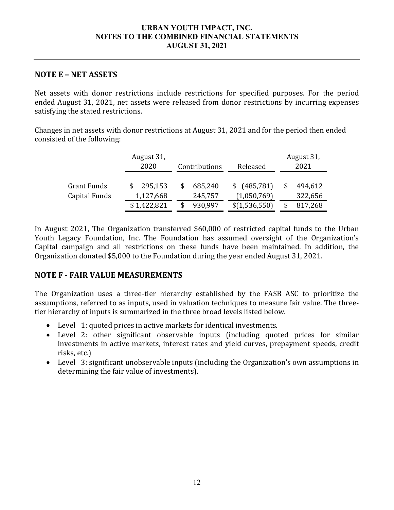### **NOTE E – NET ASSETS**

Net assets with donor restrictions include restrictions for specified purposes. For the period ended August 31, 2021, net assets were released from donor restrictions by incurring expenses satisfying the stated restrictions.

Changes in net assets with donor restrictions at August 31, 2021 and for the period then ended consisted of the following:

|                              | August 31,<br>2020   | Contributions      | Released                    | August 31,<br>2021 |
|------------------------------|----------------------|--------------------|-----------------------------|--------------------|
| Grant Funds<br>Capital Funds | 295,153<br>1,127,668 | 685,240<br>245,757 | \$ (485,781)<br>(1,050,769) | 494,612<br>322,656 |
|                              | \$1,422,821          | 930,997            | \$(1,536,550)               | 817,268            |

In August 2021, The Organization transferred \$60,000 of restricted capital funds to the Urban Youth Legacy Foundation, Inc. The Foundation has assumed oversight of the Organization's Capital campaign and all restrictions on these funds have been maintained. In addition, the Organization donated \$5,000 to the Foundation during the year ended August 31, 2021.

# **NOTE F ‐ FAIR VALUE MEASUREMENTS**

The Organization uses a three-tier hierarchy established by the FASB ASC to prioritize the assumptions, referred to as inputs, used in valuation techniques to measure fair value. The threetier hierarchy of inputs is summarized in the three broad levels listed below.

- Level 1: quoted prices in active markets for identical investments.
- Level 2: other significant observable inputs (including quoted prices for similar investments in active markets, interest rates and yield curves, prepayment speeds, credit risks, etc.)
- Level 3: significant unobservable inputs (including the Organization's own assumptions in determining the fair value of investments).